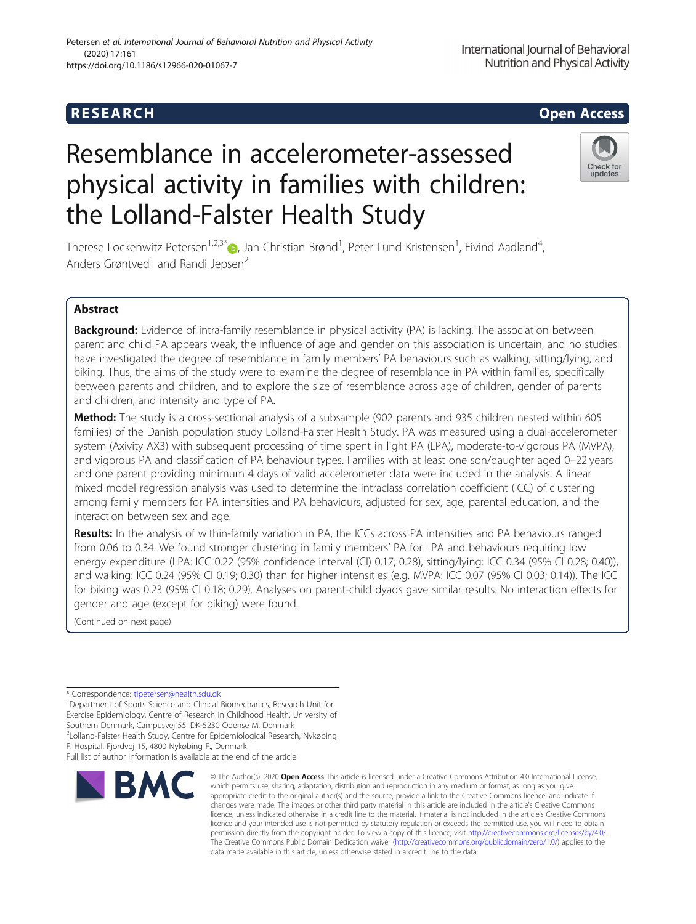# R E S EAR CH Open Access

# Resemblance in accelerometer-assessed physical activity in families with children: the Lolland-Falster Health Study

Therese Lockenwitz Petersen<sup>1,2,3\*</sup>®, Jan Christian Brønd<sup>1</sup>, Peter Lund Kristensen<sup>1</sup>, Eivind Aadland<sup>4</sup> , Anders Grøntved<sup>1</sup> and Randi Jepsen<sup>2</sup>

# Abstract

**Background:** Evidence of intra-family resemblance in physical activity (PA) is lacking. The association between parent and child PA appears weak, the influence of age and gender on this association is uncertain, and no studies have investigated the degree of resemblance in family members' PA behaviours such as walking, sitting/lying, and biking. Thus, the aims of the study were to examine the degree of resemblance in PA within families, specifically between parents and children, and to explore the size of resemblance across age of children, gender of parents and children, and intensity and type of PA.

Method: The study is a cross-sectional analysis of a subsample (902 parents and 935 children nested within 605 families) of the Danish population study Lolland-Falster Health Study. PA was measured using a dual-accelerometer system (Axivity AX3) with subsequent processing of time spent in light PA (LPA), moderate-to-vigorous PA (MVPA), and vigorous PA and classification of PA behaviour types. Families with at least one son/daughter aged 0–22 years and one parent providing minimum 4 days of valid accelerometer data were included in the analysis. A linear mixed model regression analysis was used to determine the intraclass correlation coefficient (ICC) of clustering among family members for PA intensities and PA behaviours, adjusted for sex, age, parental education, and the interaction between sex and age.

Results: In the analysis of within-family variation in PA, the ICCs across PA intensities and PA behaviours ranged from 0.06 to 0.34. We found stronger clustering in family members' PA for LPA and behaviours requiring low energy expenditure (LPA: ICC 0.22 (95% confidence interval (CI) 0.17; 0.28), sitting/lying: ICC 0.34 (95% CI 0.28; 0.40)), and walking: ICC 0.24 (95% CI 0.19; 0.30) than for higher intensities (e.g. MVPA: ICC 0.07 (95% CI 0.03; 0.14)). The ICC for biking was 0.23 (95% CI 0.18; 0.29). Analyses on parent-child dyads gave similar results. No interaction effects for gender and age (except for biking) were found.

(Continued on next page)

<sup>1</sup> Department of Sports Science and Clinical Biomechanics, Research Unit for Exercise Epidemiology, Centre of Research in Childhood Health, University of Southern Denmark, Campusvej 55, DK-5230 Odense M, Denmark 2 Lolland-Falster Health Study, Centre for Epidemiological Research, Nykøbing

F. Hospital, Fjordvej 15, 4800 Nykøbing F., Denmark









<sup>©</sup> The Author(s), 2020 **Open Access** This article is licensed under a Creative Commons Attribution 4.0 International License, which permits use, sharing, adaptation, distribution and reproduction in any medium or format, as long as you give appropriate credit to the original author(s) and the source, provide a link to the Creative Commons licence, and indicate if changes were made. The images or other third party material in this article are included in the article's Creative Commons licence, unless indicated otherwise in a credit line to the material. If material is not included in the article's Creative Commons licence and your intended use is not permitted by statutory regulation or exceeds the permitted use, you will need to obtain permission directly from the copyright holder. To view a copy of this licence, visit [http://creativecommons.org/licenses/by/4.0/.](http://creativecommons.org/licenses/by/4.0/) The Creative Commons Public Domain Dedication waiver [\(http://creativecommons.org/publicdomain/zero/1.0/](http://creativecommons.org/publicdomain/zero/1.0/)) applies to the data made available in this article, unless otherwise stated in a credit line to the data.

<sup>\*</sup> Correspondence: [tlpetersen@health.sdu.dk](mailto:tlpetersen@health.sdu.dk) <sup>1</sup>

Full list of author information is available at the end of the article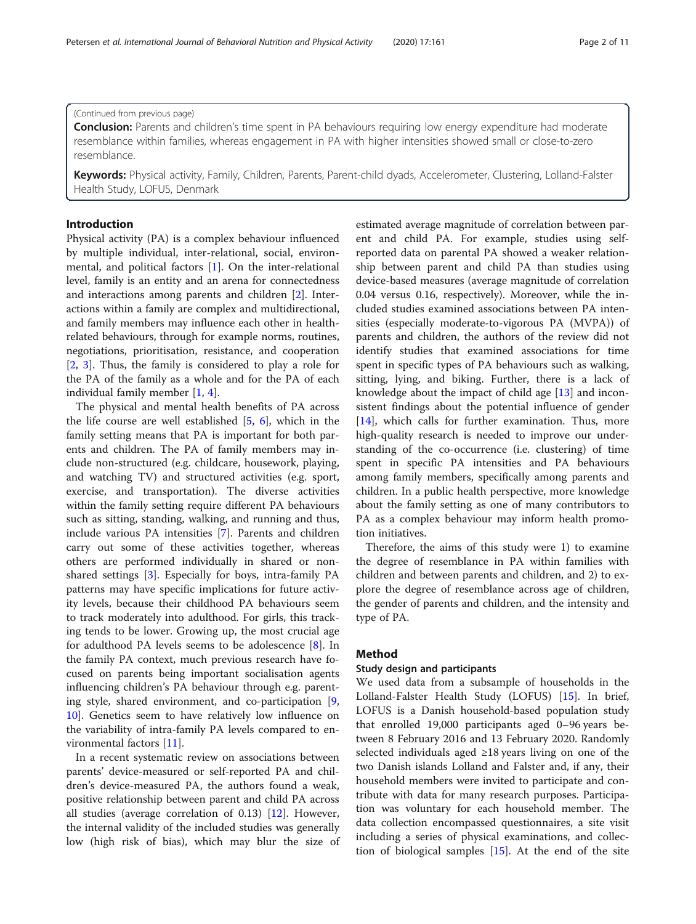**Conclusion:** Parents and children's time spent in PA behaviours requiring low energy expenditure had moderate resemblance within families, whereas engagement in PA with higher intensities showed small or close-to-zero resemblance.

Keywords: Physical activity, Family, Children, Parents, Parent-child dyads, Accelerometer, Clustering, Lolland-Falster Health Study, LOFUS, Denmark

# Introduction

Physical activity (PA) is a complex behaviour influenced by multiple individual, inter-relational, social, environmental, and political factors [\[1](#page-9-0)]. On the inter-relational level, family is an entity and an arena for connectedness and interactions among parents and children [[2\]](#page-9-0). Interactions within a family are complex and multidirectional, and family members may influence each other in healthrelated behaviours, through for example norms, routines, negotiations, prioritisation, resistance, and cooperation [[2,](#page-9-0) [3\]](#page-9-0). Thus, the family is considered to play a role for the PA of the family as a whole and for the PA of each individual family member [[1,](#page-9-0) [4\]](#page-9-0).

The physical and mental health benefits of PA across the life course are well established [[5,](#page-9-0) [6](#page-9-0)], which in the family setting means that PA is important for both parents and children. The PA of family members may include non-structured (e.g. childcare, housework, playing, and watching TV) and structured activities (e.g. sport, exercise, and transportation). The diverse activities within the family setting require different PA behaviours such as sitting, standing, walking, and running and thus, include various PA intensities [\[7](#page-9-0)]. Parents and children carry out some of these activities together, whereas others are performed individually in shared or nonshared settings [\[3](#page-9-0)]. Especially for boys, intra-family PA patterns may have specific implications for future activity levels, because their childhood PA behaviours seem to track moderately into adulthood. For girls, this tracking tends to be lower. Growing up, the most crucial age for adulthood PA levels seems to be adolescence [[8\]](#page-9-0). In the family PA context, much previous research have focused on parents being important socialisation agents influencing children's PA behaviour through e.g. parenting style, shared environment, and co-participation [\[9](#page-9-0), [10\]](#page-9-0). Genetics seem to have relatively low influence on the variability of intra-family PA levels compared to environmental factors [[11](#page-9-0)].

In a recent systematic review on associations between parents' device-measured or self-reported PA and children's device-measured PA, the authors found a weak, positive relationship between parent and child PA across all studies (average correlation of 0.13) [\[12\]](#page-9-0). However, the internal validity of the included studies was generally low (high risk of bias), which may blur the size of estimated average magnitude of correlation between parent and child PA. For example, studies using selfreported data on parental PA showed a weaker relationship between parent and child PA than studies using device-based measures (average magnitude of correlation 0.04 versus 0.16, respectively). Moreover, while the included studies examined associations between PA intensities (especially moderate-to-vigorous PA (MVPA)) of parents and children, the authors of the review did not identify studies that examined associations for time spent in specific types of PA behaviours such as walking, sitting, lying, and biking. Further, there is a lack of knowledge about the impact of child age [\[13\]](#page-9-0) and inconsistent findings about the potential influence of gender [[14\]](#page-9-0), which calls for further examination. Thus, more high-quality research is needed to improve our understanding of the co-occurrence (i.e. clustering) of time spent in specific PA intensities and PA behaviours among family members, specifically among parents and children. In a public health perspective, more knowledge about the family setting as one of many contributors to PA as a complex behaviour may inform health promotion initiatives.

Therefore, the aims of this study were 1) to examine the degree of resemblance in PA within families with children and between parents and children, and 2) to explore the degree of resemblance across age of children, the gender of parents and children, and the intensity and type of PA.

# Method

#### Study design and participants

We used data from a subsample of households in the Lolland-Falster Health Study (LOFUS) [[15](#page-9-0)]. In brief, LOFUS is a Danish household-based population study that enrolled 19,000 participants aged 0–96 years between 8 February 2016 and 13 February 2020. Randomly selected individuals aged ≥18 years living on one of the two Danish islands Lolland and Falster and, if any, their household members were invited to participate and contribute with data for many research purposes. Participation was voluntary for each household member. The data collection encompassed questionnaires, a site visit including a series of physical examinations, and collection of biological samples [\[15](#page-9-0)]. At the end of the site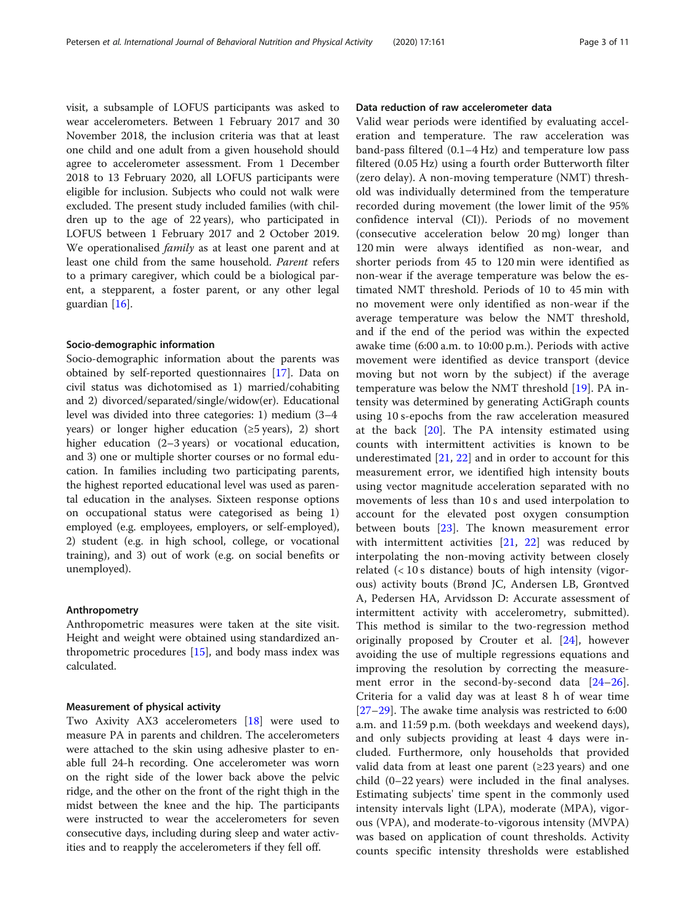visit, a subsample of LOFUS participants was asked to wear accelerometers. Between 1 February 2017 and 30 November 2018, the inclusion criteria was that at least one child and one adult from a given household should agree to accelerometer assessment. From 1 December 2018 to 13 February 2020, all LOFUS participants were eligible for inclusion. Subjects who could not walk were excluded. The present study included families (with children up to the age of 22 years), who participated in LOFUS between 1 February 2017 and 2 October 2019. We operationalised *family* as at least one parent and at least one child from the same household. Parent refers to a primary caregiver, which could be a biological parent, a stepparent, a foster parent, or any other legal guardian [\[16](#page-9-0)].

### Socio-demographic information

Socio-demographic information about the parents was obtained by self-reported questionnaires [[17\]](#page-9-0). Data on civil status was dichotomised as 1) married/cohabiting and 2) divorced/separated/single/widow(er). Educational level was divided into three categories: 1) medium (3–4 years) or longer higher education  $(\geq 5 \text{ years})$ , 2) short higher education (2–3 years) or vocational education, and 3) one or multiple shorter courses or no formal education. In families including two participating parents, the highest reported educational level was used as parental education in the analyses. Sixteen response options on occupational status were categorised as being 1) employed (e.g. employees, employers, or self-employed), 2) student (e.g. in high school, college, or vocational training), and 3) out of work (e.g. on social benefits or unemployed).

#### Anthropometry

Anthropometric measures were taken at the site visit. Height and weight were obtained using standardized anthropometric procedures [[15\]](#page-9-0), and body mass index was calculated.

#### Measurement of physical activity

Two Axivity AX3 accelerometers [\[18](#page-9-0)] were used to measure PA in parents and children. The accelerometers were attached to the skin using adhesive plaster to enable full 24-h recording. One accelerometer was worn on the right side of the lower back above the pelvic ridge, and the other on the front of the right thigh in the midst between the knee and the hip. The participants were instructed to wear the accelerometers for seven consecutive days, including during sleep and water activities and to reapply the accelerometers if they fell off.

# Data reduction of raw accelerometer data

Valid wear periods were identified by evaluating acceleration and temperature. The raw acceleration was band-pass filtered (0.1–4 Hz) and temperature low pass filtered (0.05 Hz) using a fourth order Butterworth filter (zero delay). A non-moving temperature (NMT) threshold was individually determined from the temperature recorded during movement (the lower limit of the 95% confidence interval (CI)). Periods of no movement (consecutive acceleration below 20 mg) longer than 120 min were always identified as non-wear, and shorter periods from 45 to 120 min were identified as non-wear if the average temperature was below the estimated NMT threshold. Periods of 10 to 45 min with no movement were only identified as non-wear if the average temperature was below the NMT threshold, and if the end of the period was within the expected awake time (6:00 a.m. to 10:00 p.m.). Periods with active movement were identified as device transport (device moving but not worn by the subject) if the average temperature was below the NMT threshold [[19\]](#page-9-0). PA intensity was determined by generating ActiGraph counts using 10 s-epochs from the raw acceleration measured at the back  $[20]$  $[20]$  $[20]$ . The PA intensity estimated using counts with intermittent activities is known to be underestimated [\[21](#page-9-0), [22\]](#page-9-0) and in order to account for this measurement error, we identified high intensity bouts using vector magnitude acceleration separated with no movements of less than 10 s and used interpolation to account for the elevated post oxygen consumption between bouts [\[23](#page-9-0)]. The known measurement error with intermittent activities [[21,](#page-9-0) [22](#page-9-0)] was reduced by interpolating the non-moving activity between closely related  $(< 10 s$  distance) bouts of high intensity (vigorous) activity bouts (Brønd JC, Andersen LB, Grøntved A, Pedersen HA, Arvidsson D: Accurate assessment of intermittent activity with accelerometry, submitted). This method is similar to the two-regression method originally proposed by Crouter et al. [[24](#page-9-0)], however avoiding the use of multiple regressions equations and improving the resolution by correcting the measure-ment error in the second-by-second data [[24](#page-9-0)–[26](#page-9-0)]. Criteria for a valid day was at least 8 h of wear time [[27](#page-9-0)–[29\]](#page-9-0). The awake time analysis was restricted to 6:00 a.m. and 11:59 p.m. (both weekdays and weekend days), and only subjects providing at least 4 days were included. Furthermore, only households that provided valid data from at least one parent  $(\geq 23 \text{ years})$  and one child (0–22 years) were included in the final analyses. Estimating subjects' time spent in the commonly used intensity intervals light (LPA), moderate (MPA), vigorous (VPA), and moderate-to-vigorous intensity (MVPA) was based on application of count thresholds. Activity counts specific intensity thresholds were established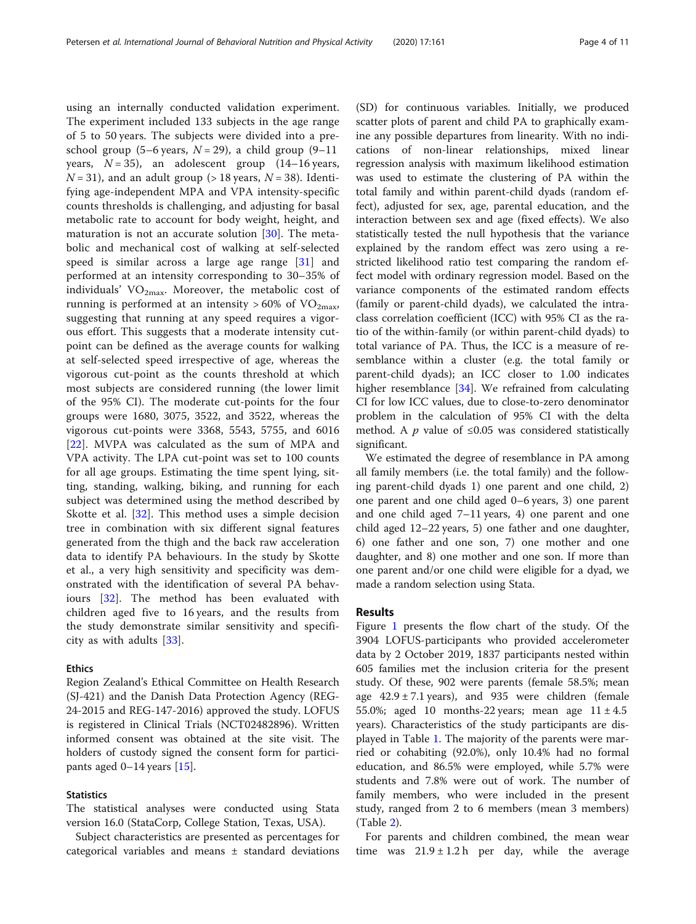using an internally conducted validation experiment. The experiment included 133 subjects in the age range of 5 to 50 years. The subjects were divided into a preschool group (5–6 years,  $N = 29$ ), a child group (9–11 years,  $N = 35$ ), an adolescent group  $(14-16 \text{ years},$  $N = 31$ ), and an adult group (> 18 years,  $N = 38$ ). Identifying age-independent MPA and VPA intensity-specific counts thresholds is challenging, and adjusting for basal metabolic rate to account for body weight, height, and maturation is not an accurate solution [\[30](#page-9-0)]. The metabolic and mechanical cost of walking at self-selected speed is similar across a large age range  $[31]$  $[31]$  and performed at an intensity corresponding to 30–35% of individuals'  $VO<sub>2max</sub>$ . Moreover, the metabolic cost of running is performed at an intensity  $>60\%$  of VO<sub>2max</sub>, suggesting that running at any speed requires a vigorous effort. This suggests that a moderate intensity cutpoint can be defined as the average counts for walking at self-selected speed irrespective of age, whereas the vigorous cut-point as the counts threshold at which most subjects are considered running (the lower limit of the 95% CI). The moderate cut-points for the four groups were 1680, 3075, 3522, and 3522, whereas the vigorous cut-points were 3368, 5543, 5755, and 6016 [[22\]](#page-9-0). MVPA was calculated as the sum of MPA and VPA activity. The LPA cut-point was set to 100 counts for all age groups. Estimating the time spent lying, sitting, standing, walking, biking, and running for each subject was determined using the method described by Skotte et al. [[32\]](#page-9-0). This method uses a simple decision tree in combination with six different signal features generated from the thigh and the back raw acceleration data to identify PA behaviours. In the study by Skotte et al., a very high sensitivity and specificity was demonstrated with the identification of several PA behaviours [[32\]](#page-9-0). The method has been evaluated with children aged five to 16 years, and the results from the study demonstrate similar sensitivity and specificity as with adults [[33](#page-9-0)].

# Ethics

Region Zealand's Ethical Committee on Health Research (SJ-421) and the Danish Data Protection Agency (REG-24-2015 and REG-147-2016) approved the study. LOFUS is registered in Clinical Trials (NCT02482896). Written informed consent was obtained at the site visit. The holders of custody signed the consent form for participants aged 0–14 years [[15](#page-9-0)].

# **Statistics**

The statistical analyses were conducted using Stata version 16.0 (StataCorp, College Station, Texas, USA).

Subject characteristics are presented as percentages for categorical variables and means ± standard deviations

(SD) for continuous variables. Initially, we produced scatter plots of parent and child PA to graphically examine any possible departures from linearity. With no indications of non-linear relationships, mixed linear regression analysis with maximum likelihood estimation was used to estimate the clustering of PA within the total family and within parent-child dyads (random effect), adjusted for sex, age, parental education, and the interaction between sex and age (fixed effects). We also statistically tested the null hypothesis that the variance explained by the random effect was zero using a restricted likelihood ratio test comparing the random effect model with ordinary regression model. Based on the variance components of the estimated random effects (family or parent-child dyads), we calculated the intraclass correlation coefficient (ICC) with 95% CI as the ratio of the within-family (or within parent-child dyads) to total variance of PA. Thus, the ICC is a measure of resemblance within a cluster (e.g. the total family or parent-child dyads); an ICC closer to 1.00 indicates higher resemblance [[34](#page-9-0)]. We refrained from calculating CI for low ICC values, due to close-to-zero denominator problem in the calculation of 95% CI with the delta method. A *p* value of  $\leq 0.05$  was considered statistically significant.

We estimated the degree of resemblance in PA among all family members (i.e. the total family) and the following parent-child dyads 1) one parent and one child, 2) one parent and one child aged 0–6 years, 3) one parent and one child aged 7–11 years, 4) one parent and one child aged 12–22 years, 5) one father and one daughter, 6) one father and one son, 7) one mother and one daughter, and 8) one mother and one son. If more than one parent and/or one child were eligible for a dyad, we made a random selection using Stata.

### Results

Figure [1](#page-4-0) presents the flow chart of the study. Of the 3904 LOFUS-participants who provided accelerometer data by 2 October 2019, 1837 participants nested within 605 families met the inclusion criteria for the present study. Of these, 902 were parents (female 58.5%; mean age  $42.9 \pm 7.1$  years), and  $935$  were children (female 55.0%; aged 10 months-22 years; mean age  $11 \pm 4.5$ years). Characteristics of the study participants are displayed in Table [1.](#page-5-0) The majority of the parents were married or cohabiting (92.0%), only 10.4% had no formal education, and 86.5% were employed, while 5.7% were students and 7.8% were out of work. The number of family members, who were included in the present study, ranged from 2 to 6 members (mean 3 members) (Table [2\)](#page-5-0).

For parents and children combined, the mean wear time was  $21.9 \pm 1.2$  h per day, while the average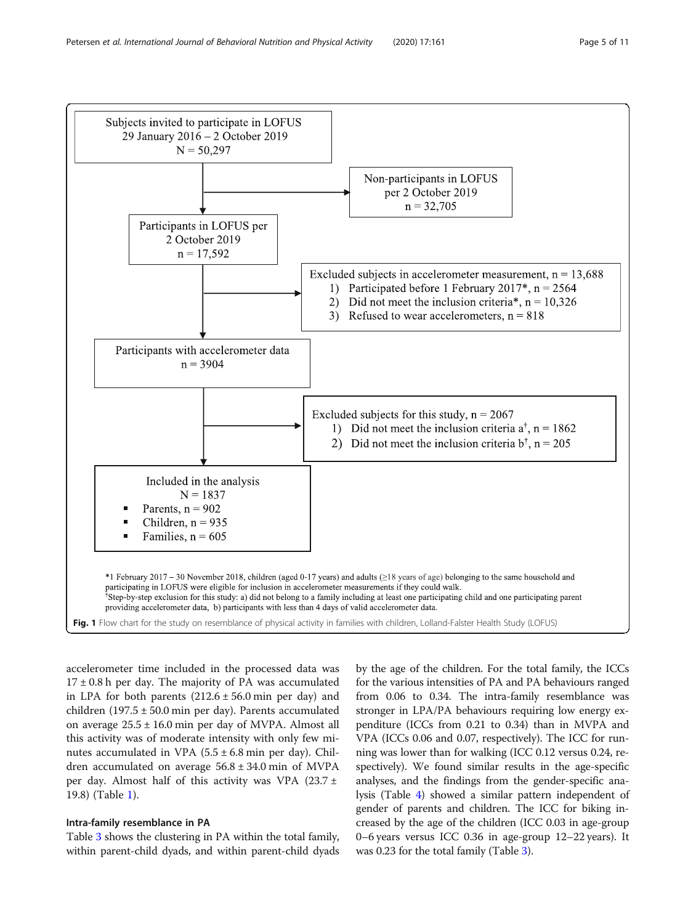Subjects invited to participate in LOFUS



<span id="page-4-0"></span>

accelerometer time included in the processed data was  $17 \pm 0.8$  h per day. The majority of PA was accumulated in LPA for both parents  $(212.6 \pm 56.0 \text{ min per day})$  and children  $(197.5 \pm 50.0 \text{ min per day})$ . Parents accumulated on average 25.5 ± 16.0 min per day of MVPA. Almost all this activity was of moderate intensity with only few minutes accumulated in VPA  $(5.5 \pm 6.8 \text{ min per day})$ . Children accumulated on average 56.8 ± 34.0 min of MVPA per day. Almost half of this activity was VPA  $(23.7 \pm$ 19.8) (Table [1\)](#page-5-0).

# Intra-family resemblance in PA

Table [3](#page-6-0) shows the clustering in PA within the total family, within parent-child dyads, and within parent-child dyads

by the age of the children. For the total family, the ICCs for the various intensities of PA and PA behaviours ranged from 0.06 to 0.34. The intra-family resemblance was stronger in LPA/PA behaviours requiring low energy expenditure (ICCs from 0.21 to 0.34) than in MVPA and VPA (ICCs 0.06 and 0.07, respectively). The ICC for running was lower than for walking (ICC 0.12 versus 0.24, respectively). We found similar results in the age-specific analyses, and the findings from the gender-specific analysis (Table [4\)](#page-6-0) showed a similar pattern independent of gender of parents and children. The ICC for biking increased by the age of the children (ICC 0.03 in age-group 0–6 years versus ICC 0.36 in age-group 12–22 years). It was 0.2[3](#page-6-0) for the total family (Table 3).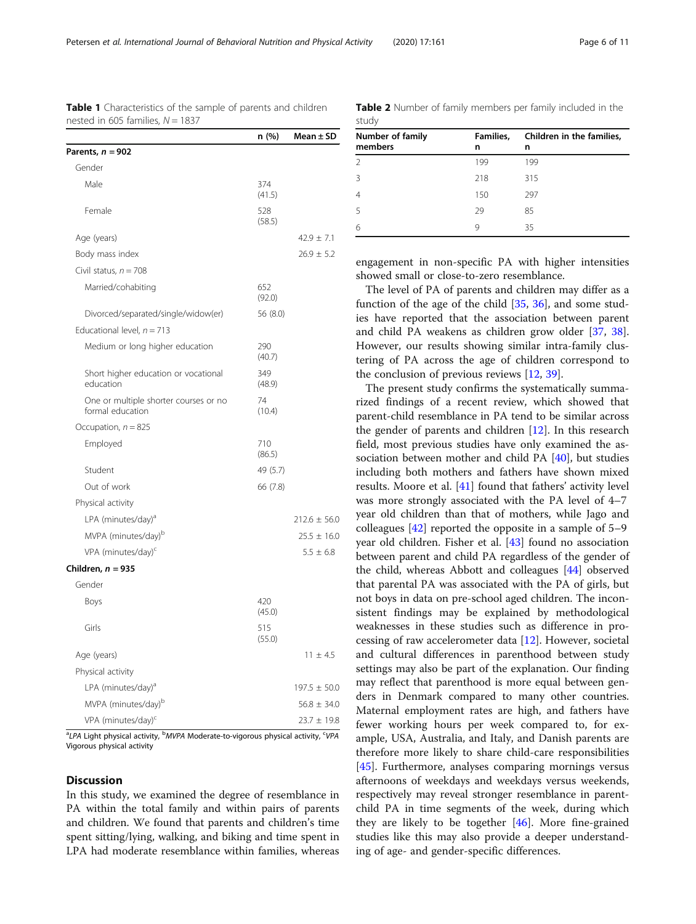**A** Vigorous physical activity

# **Discussion**

In this study, we examined the degree of resemblance in PA within the total family and within pairs of parents and children. We found that parents and children's time spent sitting/lying, walking, and biking and time spent in LPA had moderate resemblance within families, whereas

engagement in non-specific PA with higher intensities showed small or close-to-zero resemblance.

The level of PA of parents and children may differ as a function of the age of the child [[35](#page-9-0), [36\]](#page-9-0), and some studies have reported that the association between parent and child PA weakens as children grow older [\[37,](#page-9-0) [38](#page-9-0)]. However, our results showing similar intra-family clustering of PA across the age of children correspond to the conclusion of previous reviews [\[12](#page-9-0), [39\]](#page-9-0).

The present study confirms the systematically summarized findings of a recent review, which showed that parent-child resemblance in PA tend to be similar across the gender of parents and children [[12](#page-9-0)]. In this research field, most previous studies have only examined the association between mother and child PA [\[40\]](#page-9-0), but studies including both mothers and fathers have shown mixed results. Moore et al. [\[41\]](#page-9-0) found that fathers' activity level was more strongly associated with the PA level of 4–7 year old children than that of mothers, while Jago and colleagues [[42](#page-9-0)] reported the opposite in a sample of 5–9 year old children. Fisher et al. [[43\]](#page-9-0) found no association between parent and child PA regardless of the gender of the child, whereas Abbott and colleagues [\[44](#page-9-0)] observed that parental PA was associated with the PA of girls, but not boys in data on pre-school aged children. The inconsistent findings may be explained by methodological weaknesses in these studies such as difference in processing of raw accelerometer data [[12](#page-9-0)]. However, societal and cultural differences in parenthood between study settings may also be part of the explanation. Our finding may reflect that parenthood is more equal between genders in Denmark compared to many other countries. Maternal employment rates are high, and fathers have fewer working hours per week compared to, for example, USA, Australia, and Italy, and Danish parents are therefore more likely to share child-care responsibilities [[45\]](#page-9-0). Furthermore, analyses comparing mornings versus afternoons of weekdays and weekdays versus weekends, respectively may reveal stronger resemblance in parentchild PA in time segments of the week, during which they are likely to be together [[46\]](#page-9-0). More fine-grained studies like this may also provide a deeper understanding of age- and gender-specific differences.

Table 1 Characteristics of the sample of parents and children nested in 605 families,  $N = 1837$ 

<span id="page-5-0"></span>

| Petersen et al. International Journal of Behavioral Nutrition and Physical Activity | (2020) 17:161 | Page 6 of 11 |
|-------------------------------------------------------------------------------------|---------------|--------------|
|                                                                                     |               |              |

|                                                                                                                      | n (%)         | Mean $\pm$ SD    |
|----------------------------------------------------------------------------------------------------------------------|---------------|------------------|
| Parents, <i>n =</i> 902                                                                                              |               |                  |
| Gender                                                                                                               |               |                  |
| Male                                                                                                                 | 374<br>(41.5) |                  |
| Female                                                                                                               | 528<br>(58.5) |                  |
| Age (years)                                                                                                          |               | $42.9 \pm 7.1$   |
| Body mass index                                                                                                      |               | $26.9 \pm 5.2$   |
| Civil status, $n = 708$                                                                                              |               |                  |
| Married/cohabiting                                                                                                   | 652<br>(92.0) |                  |
| Divorced/separated/single/widow(er)                                                                                  | 56 (8.0)      |                  |
| Educational level, $n = 713$                                                                                         |               |                  |
| Medium or long higher education                                                                                      | 290<br>(40.7) |                  |
| Short higher education or vocational<br>education                                                                    | 349<br>(48.9) |                  |
| One or multiple shorter courses or no<br>formal education                                                            | 74<br>(10.4)  |                  |
| Occupation, $n = 825$                                                                                                |               |                  |
| Employed                                                                                                             | 710<br>(86.5) |                  |
| Student                                                                                                              | 49 (5.7)      |                  |
| Out of work                                                                                                          | 66 (7.8)      |                  |
| Physical activity                                                                                                    |               |                  |
| LPA (minutes/day) <sup>a</sup>                                                                                       |               | $212.6 \pm 56.0$ |
| MVPA (minutes/day) <sup>b</sup>                                                                                      |               | $25.5 \pm 16.0$  |
| VPA (minutes/day) <sup>c</sup>                                                                                       |               | $5.5 \pm 6.8$    |
| Children, n = 935                                                                                                    |               |                  |
| Gender                                                                                                               |               |                  |
| Boys                                                                                                                 | 420<br>(45.0) |                  |
| Girls                                                                                                                | 515<br>(55.0) |                  |
| Age (years)                                                                                                          |               | $11 \pm 4.5$     |
| Physical activity                                                                                                    |               |                  |
| LPA (minutes/day) <sup>a</sup>                                                                                       |               | $197.5 \pm 50.0$ |
| MVPA (minutes/day) <sup>b</sup>                                                                                      |               | $56.8 \pm 34.0$  |
| VPA (minutes/day) <sup>c</sup>                                                                                       |               | $23.7 \pm 19.8$  |
| <sup>a</sup> LPA Light physical activity, <sup>b</sup> MVPA Moderate-to-vigorous physical activity, <sup>c</sup> VPA |               |                  |

| <b>Table 2</b> Number of family members per family included in the<br>study |                |                                |  |  |  |  |  |  |  |
|-----------------------------------------------------------------------------|----------------|--------------------------------|--|--|--|--|--|--|--|
| <b>Number of family</b><br>members                                          | Families.<br>n | Children in the families,<br>n |  |  |  |  |  |  |  |
|                                                                             | 199            | 199                            |  |  |  |  |  |  |  |
| 3                                                                           | 218            | 315                            |  |  |  |  |  |  |  |

4 150 297 5 29 85 6 9 35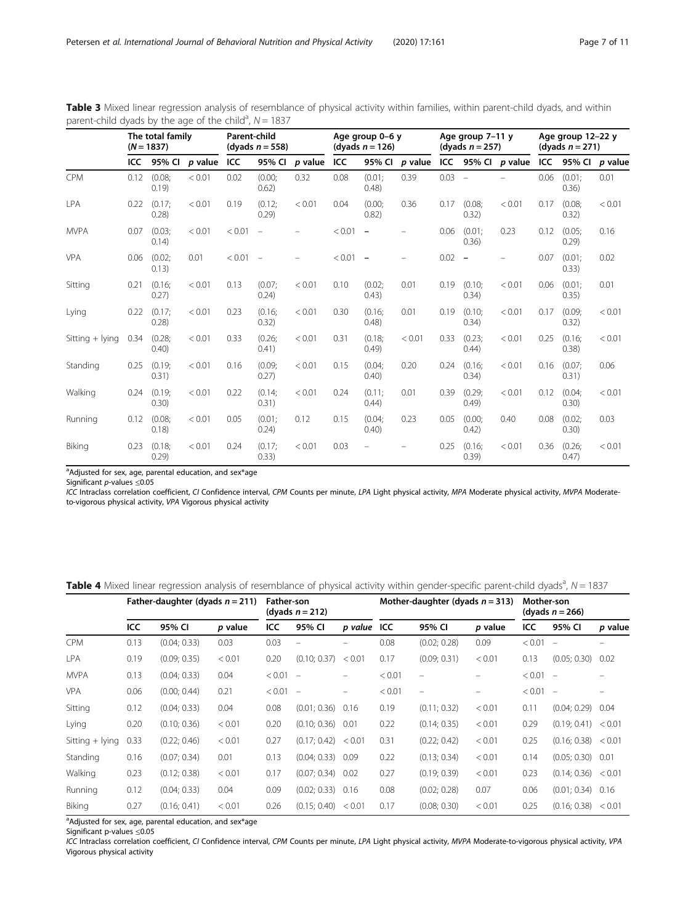<span id="page-6-0"></span>Table 3 Mixed linear regression analysis of resemblance of physical activity within families, within parent-child dyads, and within parent-child dyads by the age of the child<sup>a</sup>,  $N = 1837$ 

|                 | The total family<br>$(N = 1837)$ |                  | <b>Parent-child</b><br>(dyads $n = 558$ ) |        |                          | Age group 0-6 y<br>(dyads $n = 126$ ) |        |                          | Age group 7-11 y<br>(dyads $n = 257$ ) |      |                          | Age group 12-22 y<br>(dyads $n = 271$ ) |      |                   |         |
|-----------------|----------------------------------|------------------|-------------------------------------------|--------|--------------------------|---------------------------------------|--------|--------------------------|----------------------------------------|------|--------------------------|-----------------------------------------|------|-------------------|---------|
|                 | ICC.                             | 95% CI           | $p$ value                                 | ICC    | 95% CI                   | $p$ value                             | ICC    | 95% CI                   | $p$ value                              |      | ICC $95\%$ Cl $p$ value  |                                         |      | <b>ICC 95% CI</b> | p value |
| <b>CPM</b>      | 0.12                             | (0.08;<br>0.19   | < 0.01                                    | 0.02   | (0.00)<br>0.62)          | 0.32                                  | 0.08   | (0.01)<br>(0.48)         | 0.39                                   | 0.03 | $\overline{\phantom{a}}$ |                                         | 0.06 | (0.01)<br>0.36)   | 0.01    |
| <b>LPA</b>      | 0.22                             | (0.17)<br>0.28   | < 0.01                                    | 0.19   | (0.12)<br>0.29           | < 0.01                                | 0.04   | (0.00)<br>0.82)          | 0.36                                   | 0.17 | (0.08)<br>0.32)          | < 0.01                                  | 0.17 | (0.08)<br>0.32)   | < 0.01  |
| <b>MVPA</b>     | 0.07                             | (0.03;<br>0.14)  | < 0.01                                    | < 0.01 | $\overline{\phantom{m}}$ |                                       | < 0.01 | $\overline{\phantom{m}}$ |                                        | 0.06 | (0.01)<br>0.36)          | 0.23                                    | 0.12 | (0.05)<br>0.29)   | 0.16    |
| <b>VPA</b>      | 0.06                             | (0.02;<br>0.13)  | 0.01                                      | < 0.01 | $\sim$                   |                                       | < 0.01 | $\overline{\phantom{0}}$ |                                        | 0.02 | $\overline{\phantom{a}}$ |                                         | 0.07 | (0.01)<br>0.33)   | 0.02    |
| Sitting         | 0.21                             | (0.16;<br>0.27)  | < 0.01                                    | 0.13   | (0.07)<br>0.24)          | < 0.01                                | 0.10   | (0.02;<br>(0.43)         | 0.01                                   | 0.19 | (0.10;<br>0.34)          | < 0.01                                  | 0.06 | (0.01)<br>0.35)   | 0.01    |
| Lying           | 0.22                             | (0.17)<br>0.28   | < 0.01                                    | 0.23   | (0.16;<br>0.32)          | < 0.01                                | 0.30   | (0.16;<br>(0.48)         | 0.01                                   | 0.19 | (0.10;<br>0.34)          | < 0.01                                  | 0.17 | (0.09)<br>0.32)   | < 0.01  |
| Sitting + lying | 0.34                             | (0.28;<br>(0.40) | < 0.01                                    | 0.33   | (0.26;<br>0.41)          | < 0.01                                | 0.31   | (0.18;<br>(0.49)         | < 0.01                                 | 0.33 | (0.23;<br>(0.44)         | < 0.01                                  | 0.25 | (0.16;<br>(0.38)  | < 0.01  |
| Standing        | 0.25                             | (0.19;<br>0.31)  | < 0.01                                    | 0.16   | (0.09;<br>0.27)          | < 0.01                                | 0.15   | (0.04;<br>(0.40)         | 0.20                                   | 0.24 | (0.16;<br>0.34)          | < 0.01                                  | 0.16 | (0.07)<br>0.31)   | 0.06    |
| Walking         | 0.24                             | (0.19;<br>0.30)  | < 0.01                                    | 0.22   | (0.14;<br>0.31)          | < 0.01                                | 0.24   | (0.11)<br>(0.44)         | 0.01                                   | 0.39 | (0.29;<br>(0.49)         | < 0.01                                  | 0.12 | (0.04;<br>0.30)   | < 0.01  |
| Running         | 0.12                             | (0.08;<br>0.18   | < 0.01                                    | 0.05   | (0.01)<br>0.24)          | 0.12                                  | 0.15   | (0.04)<br>(0.40)         | 0.23                                   | 0.05 | (0.00)<br>0.42)          | 0.40                                    | 0.08 | (0.02)<br>(0.30)  | 0.03    |
| Biking          | 0.23                             | (0.18;<br>0.29   | < 0.01                                    | 0.24   | (0.17)<br>0.33)          | < 0.01                                | 0.03   |                          |                                        | 0.25 | (0.16;<br>0.39)          | < 0.01                                  | 0.36 | (0.26)<br>0.47)   | < 0.01  |

<sup>a</sup>Adjusted for sex, age, parental education, and sex\*age

Significant p-values ≤0.05

ICC Intraclass correlation coefficient, CI Confidence interval, CPM Counts per minute, LPA Light physical activity, MPA Moderate physical activity, MVPA Moderateto-vigorous physical activity, VPA Vigorous physical activity

Table 4 Mixed linear regression analysis of resemblance of physical activity within gender-specific parent-child dyads<sup>a</sup>, N = 1837

|                   | Father-daughter (dyads $n = 211$ ) |              |         | <b>Father-son</b><br>(dyads $n = 212$ ) |                          |             | Mother-daughter (dyads $n = 313$ ) |                          |         | Mother-son<br>(dyads $n = 266$ ) |                          |         |
|-------------------|------------------------------------|--------------|---------|-----------------------------------------|--------------------------|-------------|------------------------------------|--------------------------|---------|----------------------------------|--------------------------|---------|
|                   | ICC                                | 95% CI       | p value | ICC                                     | 95% CI                   | p value ICC |                                    | 95% CI                   | p value | ICC                              | 95% CI                   | p value |
| <b>CPM</b>        | 0.13                               | (0.04; 0.33) | 0.03    | 0.03                                    | $\overline{\phantom{m}}$ | -           | 0.08                               | (0.02; 0.28)             | 0.09    | < 0.01                           | $\overline{\phantom{m}}$ |         |
| LPA               | 0.19                               | (0.09; 0.35) | < 0.01  | 0.20                                    | (0.10; 0.37)             | < 0.01      | 0.17                               | (0.09; 0.31)             | < 0.01  | 0.13                             | (0.05; 0.30)             | 0.02    |
| <b>MVPA</b>       | 0.13                               | (0.04; 0.33) | 0.04    | < 0.01                                  | $\overline{\phantom{a}}$ | -           | < 0.01                             |                          |         | < 0.01                           | $\sim$                   |         |
| <b>VPA</b>        | 0.06                               | (0.00; 0.44) | 0.21    | < 0.01                                  | $\overline{\phantom{a}}$ | -           | < 0.01                             | $\overline{\phantom{0}}$ |         | < 0.01                           | $\overline{\phantom{a}}$ |         |
| Sitting           | 0.12                               | (0.04; 0.33) | 0.04    | 0.08                                    | (0.01; 0.36)             | 0.16        | 0.19                               | (0.11; 0.32)             | < 0.01  | 0.11                             | (0.04; 0.29)             | 0.04    |
| Lying             | 0.20                               | (0.10; 0.36) | < 0.01  | 0.20                                    | (0.10; 0.36)             | 0.01        | 0.22                               | (0.14; 0.35)             | < 0.01  | 0.29                             | (0.19; 0.41)             | < 0.01  |
| Sitting $+$ lying | 0.33                               | (0.22; 0.46) | < 0.01  | 0.27                                    | (0.17; 0.42)             | < 0.01      | 0.31                               | (0.22; 0.42)             | < 0.01  | 0.25                             | (0.16; 0.38)             | < 0.01  |
| Standing          | 0.16                               | (0.07; 0.34) | 0.01    | 0.13                                    | (0.04; 0.33)             | 0.09        | 0.22                               | (0.13; 0.34)             | < 0.01  | 0.14                             | (0.05; 0.30)             | 0.01    |
| Walking           | 0.23                               | (0.12; 0.38) | < 0.01  | 0.17                                    | (0.07; 0.34)             | 0.02        | 0.27                               | (0.19; 0.39)             | < 0.01  | 0.23                             | (0.14; 0.36)             | < 0.01  |
| Running           | 0.12                               | (0.04; 0.33) | 0.04    | 0.09                                    | (0.02; 0.33)             | 0.16        | 0.08                               | (0.02; 0.28)             | 0.07    | 0.06                             | (0.01; 0.34)             | 0.16    |
| <b>Biking</b>     | 0.27                               | (0.16; 0.41) | < 0.01  | 0.26                                    | (0.15; 0.40)             | < 0.01      | 0.17                               | (0.08; 0.30)             | < 0.01  | 0.25                             | (0.16; 0.38)             | < 0.01  |

<sup>a</sup>Adjusted for sex, age, parental education, and sex\*age

Significant p-values ≤0.05

ICC Intraclass correlation coefficient, CI Confidence interval, CPM Counts per minute, LPA Light physical activity, MVPA Moderate-to-vigorous physical activity, VPA Vigorous physical activity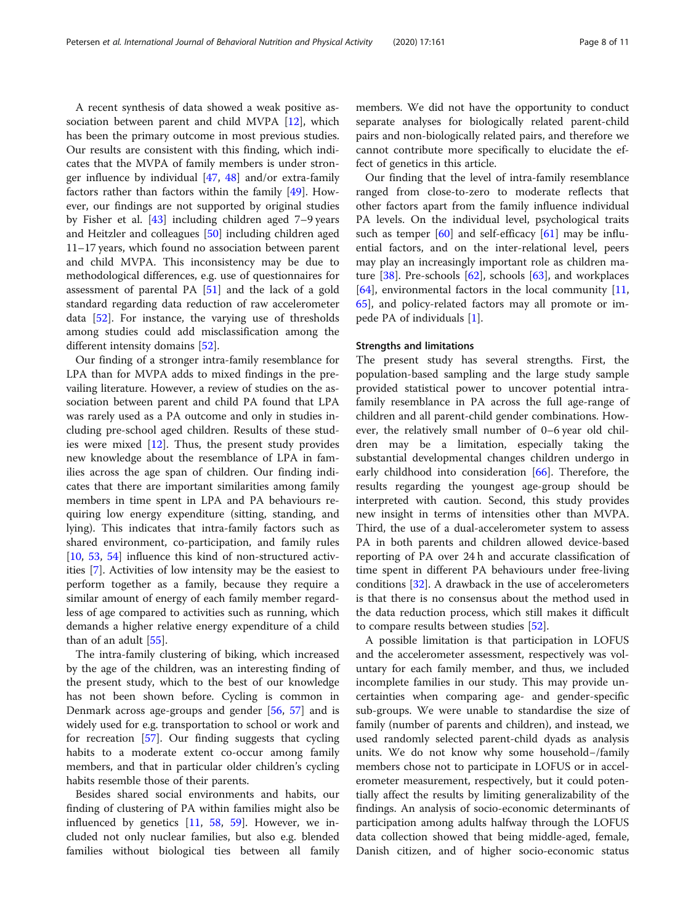A recent synthesis of data showed a weak positive association between parent and child MVPA [[12](#page-9-0)], which has been the primary outcome in most previous studies. Our results are consistent with this finding, which indicates that the MVPA of family members is under stronger influence by individual [[47](#page-10-0), [48\]](#page-10-0) and/or extra-family factors rather than factors within the family [\[49](#page-10-0)]. However, our findings are not supported by original studies by Fisher et al. [[43\]](#page-9-0) including children aged 7–9 years and Heitzler and colleagues [\[50](#page-10-0)] including children aged 11–17 years, which found no association between parent and child MVPA. This inconsistency may be due to methodological differences, e.g. use of questionnaires for assessment of parental PA [[51](#page-10-0)] and the lack of a gold standard regarding data reduction of raw accelerometer data [\[52](#page-10-0)]. For instance, the varying use of thresholds among studies could add misclassification among the different intensity domains [[52\]](#page-10-0).

Our finding of a stronger intra-family resemblance for LPA than for MVPA adds to mixed findings in the prevailing literature. However, a review of studies on the association between parent and child PA found that LPA was rarely used as a PA outcome and only in studies including pre-school aged children. Results of these studies were mixed [\[12](#page-9-0)]. Thus, the present study provides new knowledge about the resemblance of LPA in families across the age span of children. Our finding indicates that there are important similarities among family members in time spent in LPA and PA behaviours requiring low energy expenditure (sitting, standing, and lying). This indicates that intra-family factors such as shared environment, co-participation, and family rules [[10,](#page-9-0) [53,](#page-10-0) [54](#page-10-0)] influence this kind of non-structured activities [[7\]](#page-9-0). Activities of low intensity may be the easiest to perform together as a family, because they require a similar amount of energy of each family member regardless of age compared to activities such as running, which demands a higher relative energy expenditure of a child than of an adult [\[55](#page-10-0)].

The intra-family clustering of biking, which increased by the age of the children, was an interesting finding of the present study, which to the best of our knowledge has not been shown before. Cycling is common in Denmark across age-groups and gender [[56,](#page-10-0) [57\]](#page-10-0) and is widely used for e.g. transportation to school or work and for recreation [[57\]](#page-10-0). Our finding suggests that cycling habits to a moderate extent co-occur among family members, and that in particular older children's cycling habits resemble those of their parents.

Besides shared social environments and habits, our finding of clustering of PA within families might also be influenced by genetics  $[11, 58, 59]$  $[11, 58, 59]$  $[11, 58, 59]$  $[11, 58, 59]$  $[11, 58, 59]$  $[11, 58, 59]$ . However, we included not only nuclear families, but also e.g. blended families without biological ties between all family members. We did not have the opportunity to conduct separate analyses for biologically related parent-child pairs and non-biologically related pairs, and therefore we cannot contribute more specifically to elucidate the effect of genetics in this article.

Our finding that the level of intra-family resemblance ranged from close-to-zero to moderate reflects that other factors apart from the family influence individual PA levels. On the individual level, psychological traits such as temper [\[60](#page-10-0)] and self-efficacy [\[61](#page-10-0)] may be influential factors, and on the inter-relational level, peers may play an increasingly important role as children mature  $[38]$ . Pre-schools  $[62]$  $[62]$  $[62]$ , schools  $[63]$ , and workplaces  $[64]$  $[64]$ , environmental factors in the local community  $[11]$  $[11]$  $[11]$ , [65\]](#page-10-0), and policy-related factors may all promote or impede PA of individuals [\[1](#page-9-0)].

#### Strengths and limitations

The present study has several strengths. First, the population-based sampling and the large study sample provided statistical power to uncover potential intrafamily resemblance in PA across the full age-range of children and all parent-child gender combinations. However, the relatively small number of 0–6 year old children may be a limitation, especially taking the substantial developmental changes children undergo in early childhood into consideration [[66](#page-10-0)]. Therefore, the results regarding the youngest age-group should be interpreted with caution. Second, this study provides new insight in terms of intensities other than MVPA. Third, the use of a dual-accelerometer system to assess PA in both parents and children allowed device-based reporting of PA over 24 h and accurate classification of time spent in different PA behaviours under free-living conditions [[32](#page-9-0)]. A drawback in the use of accelerometers is that there is no consensus about the method used in the data reduction process, which still makes it difficult to compare results between studies [[52\]](#page-10-0).

A possible limitation is that participation in LOFUS and the accelerometer assessment, respectively was voluntary for each family member, and thus, we included incomplete families in our study. This may provide uncertainties when comparing age- and gender-specific sub-groups. We were unable to standardise the size of family (number of parents and children), and instead, we used randomly selected parent-child dyads as analysis units. We do not know why some household−/family members chose not to participate in LOFUS or in accelerometer measurement, respectively, but it could potentially affect the results by limiting generalizability of the findings. An analysis of socio-economic determinants of participation among adults halfway through the LOFUS data collection showed that being middle-aged, female, Danish citizen, and of higher socio-economic status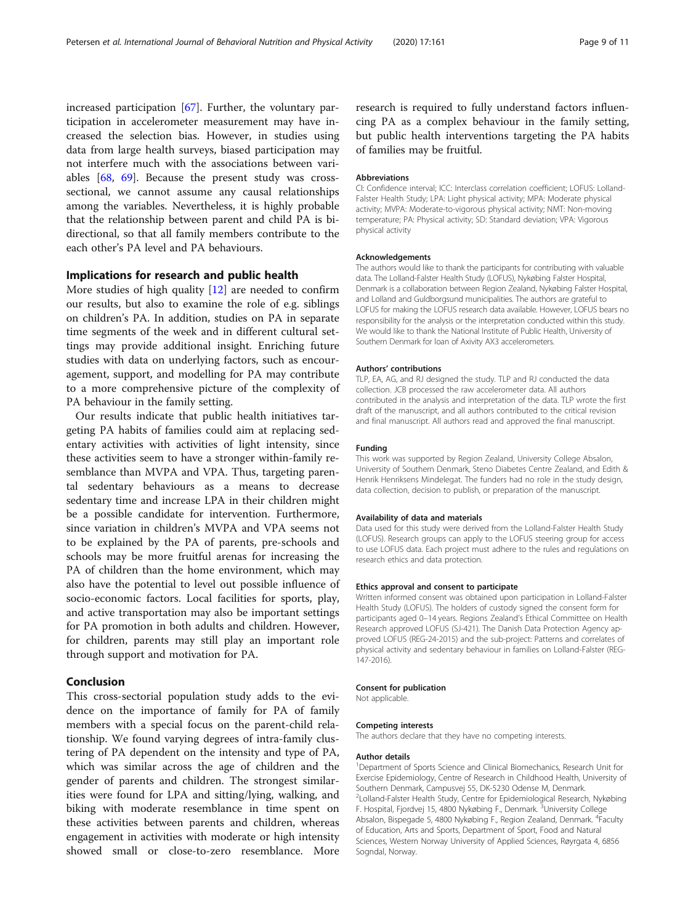increased participation [\[67\]](#page-10-0). Further, the voluntary participation in accelerometer measurement may have increased the selection bias. However, in studies using data from large health surveys, biased participation may not interfere much with the associations between variables [[68,](#page-10-0) [69\]](#page-10-0). Because the present study was crosssectional, we cannot assume any causal relationships among the variables. Nevertheless, it is highly probable that the relationship between parent and child PA is bidirectional, so that all family members contribute to the each other's PA level and PA behaviours.

# Implications for research and public health

More studies of high quality [\[12](#page-9-0)] are needed to confirm our results, but also to examine the role of e.g. siblings on children's PA. In addition, studies on PA in separate time segments of the week and in different cultural settings may provide additional insight. Enriching future studies with data on underlying factors, such as encouragement, support, and modelling for PA may contribute to a more comprehensive picture of the complexity of PA behaviour in the family setting.

Our results indicate that public health initiatives targeting PA habits of families could aim at replacing sedentary activities with activities of light intensity, since these activities seem to have a stronger within-family resemblance than MVPA and VPA. Thus, targeting parental sedentary behaviours as a means to decrease sedentary time and increase LPA in their children might be a possible candidate for intervention. Furthermore, since variation in children's MVPA and VPA seems not to be explained by the PA of parents, pre-schools and schools may be more fruitful arenas for increasing the PA of children than the home environment, which may also have the potential to level out possible influence of socio-economic factors. Local facilities for sports, play, and active transportation may also be important settings for PA promotion in both adults and children. However, for children, parents may still play an important role through support and motivation for PA.

#### Conclusion

This cross-sectorial population study adds to the evidence on the importance of family for PA of family members with a special focus on the parent-child relationship. We found varying degrees of intra-family clustering of PA dependent on the intensity and type of PA, which was similar across the age of children and the gender of parents and children. The strongest similarities were found for LPA and sitting/lying, walking, and biking with moderate resemblance in time spent on these activities between parents and children, whereas engagement in activities with moderate or high intensity showed small or close-to-zero resemblance. More

research is required to fully understand factors influencing PA as a complex behaviour in the family setting, but public health interventions targeting the PA habits of families may be fruitful.

#### Abbreviations

CI: Confidence interval; ICC: Interclass correlation coefficient; LOFUS: Lolland-Falster Health Study; LPA: Light physical activity; MPA: Moderate physical activity; MVPA: Moderate-to-vigorous physical activity; NMT: Non-moving temperature; PA: Physical activity; SD: Standard deviation; VPA: Vigorous physical activity

#### Acknowledgements

The authors would like to thank the participants for contributing with valuable data. The Lolland-Falster Health Study (LOFUS), Nykøbing Falster Hospital, Denmark is a collaboration between Region Zealand, Nykøbing Falster Hospital, and Lolland and Guldborgsund municipalities. The authors are grateful to LOFUS for making the LOFUS research data available. However, LOFUS bears no responsibility for the analysis or the interpretation conducted within this study. We would like to thank the National Institute of Public Health, University of Southern Denmark for loan of Axivity AX3 accelerometers.

#### Authors' contributions

TLP, EA, AG, and RJ designed the study. TLP and RJ conducted the data collection. JCB processed the raw accelerometer data. All authors contributed in the analysis and interpretation of the data. TLP wrote the first draft of the manuscript, and all authors contributed to the critical revision and final manuscript. All authors read and approved the final manuscript.

#### Funding

This work was supported by Region Zealand, University College Absalon, University of Southern Denmark, Steno Diabetes Centre Zealand, and Edith & Henrik Henriksens Mindelegat. The funders had no role in the study design, data collection, decision to publish, or preparation of the manuscript.

#### Availability of data and materials

Data used for this study were derived from the Lolland-Falster Health Study (LOFUS). Research groups can apply to the LOFUS steering group for access to use LOFUS data. Each project must adhere to the rules and regulations on research ethics and data protection.

#### Ethics approval and consent to participate

Written informed consent was obtained upon participation in Lolland-Falster Health Study (LOFUS). The holders of custody signed the consent form for participants aged 0–14 years. Regions Zealand's Ethical Committee on Health Research approved LOFUS (SJ-421). The Danish Data Protection Agency approved LOFUS (REG-24-2015) and the sub-project: Patterns and correlates of physical activity and sedentary behaviour in families on Lolland-Falster (REG-147-2016).

#### Consent for publication

Not applicable.

#### Competing interests

The authors declare that they have no competing interests.

#### Author details

<sup>1</sup>Department of Sports Science and Clinical Biomechanics, Research Unit for Exercise Epidemiology, Centre of Research in Childhood Health, University of Southern Denmark, Campusvej 55, DK-5230 Odense M, Denmark. 2 Lolland-Falster Health Study, Centre for Epidemiological Research, Nykøbing F. Hospital, Fjordvej 15, 4800 Nykøbing F., Denmark. <sup>3</sup>University College Absalon, Bispegade 5, 4800 Nykøbing F., Region Zealand, Denmark. <sup>4</sup> Faculty of Education, Arts and Sports, Department of Sport, Food and Natural Sciences, Western Norway University of Applied Sciences, Røyrgata 4, 6856 Sogndal, Norway.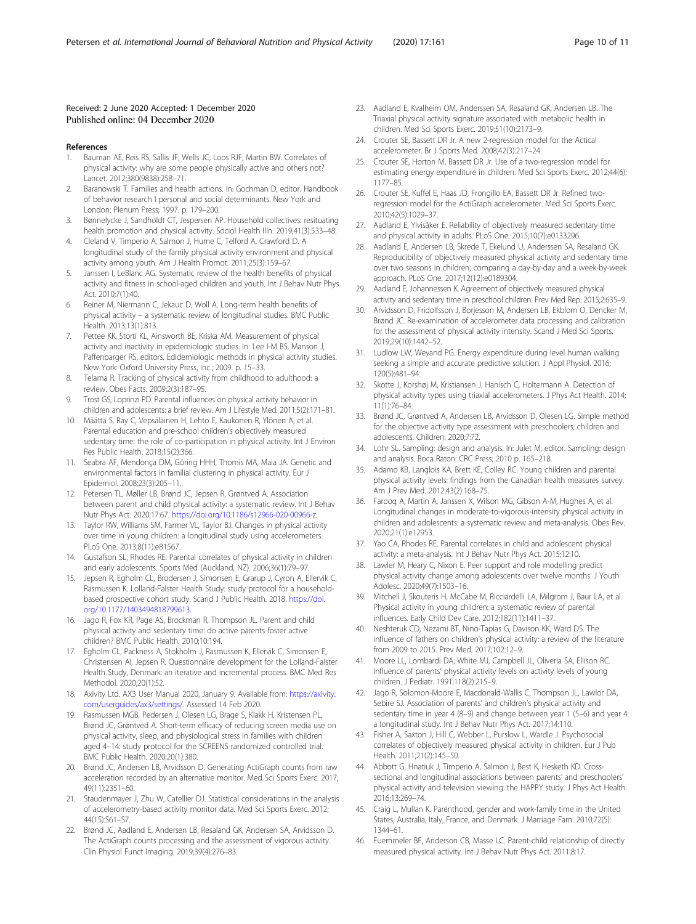#### <span id="page-9-0"></span>Received: 2 June 2020 Accepted: 1 December 2020 Published online: 04 December 2020

#### References

- 1. Bauman AE, Reis RS, Sallis JF, Wells JC, Loos RJF, Martin BW. Correlates of physical activity: why are some people physically active and others not? Lancet. 2012;380(9838):258–71.
- 2. Baranowski T. Families and health actions. In: Gochman D, editor. Handbook of behavior research I personal and social determinants. New York and London: Plenum Press; 1997. p. 179–200.
- 3. Bønnelycke J, Sandholdt CT, Jespersen AP. Household collectives: resituating health promotion and physical activity. Sociol Health Illn. 2019;41(3):533–48.
- 4. Cleland V, Timperio A, Salmon J, Hume C, Telford A, Crawford D. A longitudinal study of the family physical activity environment and physical activity among youth. Am J Health Promot. 2011;25(3):159–67.
- 5. Janssen I, LeBlanc AG. Systematic review of the health benefits of physical activity and fitness in school-aged children and youth. Int J Behav Nutr Phys Act. 2010;7(1):40.
- Reiner M, Niermann C, Jekauc D, Woll A. Long-term health benefits of physical activity – a systematic review of longitudinal studies. BMC Public Health. 2013;13(1):813.
- 7. Pettee KK, Storti KL, Ainsworth BE, Kriska AM. Measurement of physical activity and inactivity in epidemiologic studies. In: Lee I-M BS, Manson J, Paffenbarger RS, editors. Edidemiologic methods in physical activity studies. New York: Oxford University Press, Inc.; 2009. p. 15–33.
- 8. Telama R. Tracking of physical activity from childhood to adulthood: a review. Obes Facts. 2009;2(3):187–95.
- Trost GS, Loprinzi PD. Parental influences on physical activity behavior in children and adolescents: a brief review. Am J Lifestyle Med. 2011;5(2):171–81.
- 10. Määttä S, Ray C, Vepsäläinen H, Lehto E, Kaukonen R, Ylönen A, et al. Parental education and pre-school children's objectively measured sedentary time: the role of co-participation in physical activity. Int J Environ Res Public Health. 2018;15(2):366.
- 11. Seabra AF, Mendonça DM, Göring HHH, Thomis MA, Maia JA. Genetic and environmental factors in familial clustering in physical activity. Eur J Epidemiol. 2008;23(3):205–11.
- 12. Petersen TL, Møller LB, Brønd JC, Jepsen R, Grøntved A. Association between parent and child physical activity: a systematic review. Int J Behav Nutr Phys Act. 2020;17:67. <https://doi.org/10.1186/s12966-020-00966-z>.
- 13. Taylor RW, Williams SM, Farmer VL, Taylor BJ. Changes in physical activity over time in young children: a longitudinal study using accelerometers. PLoS One. 2013;8(11):e81567.
- 14. Gustafson SL, Rhodes RE. Parental correlates of physical activity in children and early adolescents. Sports Med (Auckland, NZ). 2006;36(1):79–97.
- 15. Jepsen R, Egholm CL, Brodersen J, Simonsen E, Grarup J, Cyron A, Ellervik C, Rasmussen K. Lolland-Falster Health Study: study protocol for a householdbased prospective cohort study. Scand J Public Health. 2018. [https://doi.](https://doi.org/10.1177/1403494818799613) [org/10.1177/1403494818799613.](https://doi.org/10.1177/1403494818799613)
- 16. Jago R, Fox KR, Page AS, Brockman R, Thompson JL. Parent and child physical activity and sedentary time: do active parents foster active children? BMC Public Health. 2010;10:194.
- 17. Egholm CL, Packness A, Stokholm J, Rasmussen K, Ellervik C, Simonsen E, Christensen AI, Jepsen R. Questionnaire development for the Lolland-Falster Health Study, Denmark: an iterative and incremental process. BMC Med Res Methodol. 2020;20(1):52.
- 18. Axivity Ltd. AX3 User Manual 2020, January 9. Available from: [https://axivity.](https://axivity.com/userguides/ax3/settings/) [com/userguides/ax3/settings/.](https://axivity.com/userguides/ax3/settings/) Assessed 14 Feb 2020.
- 19. Rasmussen MGB, Pedersen J, Olesen LG, Brage S, Klakk H, Kristensen PL, Brønd JC, Grøntved A. Short-term efficacy of reducing screen media use on physical activity, sleep, and physiological stress in families with children aged 4–14: study protocol for the SCREENS randomized controlled trial. BMC Public Health. 2020;20(1):380.
- 20. Brønd JC, Andersen LB, Arvidsson D. Generating ActiGraph counts from raw acceleration recorded by an alternative monitor. Med Sci Sports Exerc. 2017; 49(11):2351–60.
- 21. Staudenmayer J, Zhu W, Catellier DJ. Statistical considerations in the analysis of accelerometry-based activity monitor data. Med Sci Sports Exerc. 2012; 44(1S):S61–S7.
- 22. Brønd JC, Aadland E, Andersen LB, Resaland GK, Andersen SA, Arvidsson D. The ActiGraph counts processing and the assessment of vigorous activity. Clin Physiol Funct Imaging. 2019;39(4):276–83.
- 23. Aadland E, Kvalheim OM, Anderssen SA, Resaland GK, Andersen LB. The Triaxial physical activity signature associated with metabolic health in children. Med Sci Sports Exerc. 2019;51(10):2173–9.
- 24. Crouter SE, Bassett DR Jr. A new 2-regression model for the Actical accelerometer. Br J Sports Med. 2008;42(3):217–24.
- 25. Crouter SE, Horton M, Bassett DR Jr. Use of a two-regression model for estimating energy expenditure in children. Med Sci Sports Exerc. 2012;44(6): 1177–85.
- 26. Crouter SE, Kuffel E, Haas JD, Frongillo EA, Bassett DR Jr. Refined tworegression model for the ActiGraph accelerometer. Med Sci Sports Exerc. 2010;42(5):1029–37.
- 27. Aadland E, Ylvisåker E. Reliability of objectively measured sedentary time and physical activity in adults. PLoS One. 2015;10(7):e0133296.
- 28. Aadland E, Andersen LB, Skrede T, Ekelund U, Anderssen SA, Resaland GK. Reproducibility of objectively measured physical activity and sedentary time over two seasons in children; comparing a day-by-day and a week-by-week approach. PLoS One. 2017;12(12):e0189304.
- 29. Aadland E, Johannessen K. Agreement of objectively measured physical activity and sedentary time in preschool children. Prev Med Rep. 2015;2:635–9.
- 30. Arvidsson D, Fridolfsson J, Borjesson M, Andersen LB, Ekblom O, Dencker M, Brønd JC. Re-examination of accelerometer data processing and calibration for the assessment of physical activity intensity. Scand J Med Sci Sports. 2019;29(10):1442–52.
- 31. Ludlow LW, Weyand PG. Energy expenditure during level human walking: seeking a simple and accurate predictive solution. J Appl Physiol. 2016; 120(5):481–94.
- 32. Skotte J, Korshøj M, Kristiansen J, Hanisch C, Holtermann A. Detection of physical activity types using triaxial accelerometers. J Phys Act Health. 2014; 11(1):76–84.
- 33. Brønd JC, Grøntved A, Andersen LB, Arvidsson D, Olesen LG. Simple method for the objective activity type assessment with preschoolers, children and adolescents. Children. 2020;7:72.
- 34. Lohr SL. Sampling: design and analysis. In: Julet M, editor. Sampling: design and analysis. Boca Raton: CRC Press; 2010 p. 165–218.
- 35. Adamo KB, Langlois KA, Brett KE, Colley RC. Young children and parental physical activity levels: findings from the Canadian health measures survey. Am J Prev Med. 2012;43(2):168–75.
- 36. Farooq A, Martin A, Janssen X, Wilson MG, Gibson A-M, Hughes A, et al. Longitudinal changes in moderate-to-vigorous-intensity physical activity in children and adolescents: a systematic review and meta-analysis. Obes Rev. 2020;21(1):e12953.
- 37. Yao CA, Rhodes RE. Parental correlates in child and adolescent physical activity: a meta-analysis. Int J Behav Nutr Phys Act. 2015;12:10.
- 38. Lawler M, Heary C, Nixon E. Peer support and role modelling predict physical activity change among adolescents over twelve months. J Youth Adolesc. 2020;49(7):1503–16.
- 39. Mitchell J, Skouteris H, McCabe M, Ricciardelli LA, Milgrom J, Baur LA, et al. Physical activity in young children: a systematic review of parental influences. Early Child Dev Care. 2012;182(11):1411–37.
- 40. Neshteruk CD, Nezami BT, Nino-Tapias G, Davison KK, Ward DS. The influence of fathers on children's physical activity: a review of the literature from 2009 to 2015. Prev Med. 2017;102:12–9.
- 41. Moore LL, Lombardi DA, White MJ, Campbell JL, Oliveria SA, Ellison RC. Influence of parents' physical activity levels on activity levels of young children. J Pediatr. 1991;118(2):215–9.
- 42. Jago R, Solomon-Moore E, Macdonald-Wallis C, Thompson JL, Lawlor DA, Sebire SJ. Association of parents' and children's physical activity and sedentary time in year 4 (8–9) and change between year 1 (5–6) and year 4: a longitudinal study. Int J Behav Nutr Phys Act. 2017;14:110.
- 43. Fisher A, Saxton J, Hill C, Webber L, Purslow L, Wardle J. Psychosocial correlates of objectively measured physical activity in children. Eur J Pub Health. 2011;21(2):145–50.
- 44. Abbott G, Hnatiuk J, Timperio A, Salmon J, Best K, Hesketh KD. Crosssectional and longitudinal associations between parents' and preschoolers' physical activity and television viewing: the HAPPY study. J Phys Act Health. 2016;13:269–74.
- 45. Craig L, Mullan K. Parenthood, gender and work-family time in the United States, Australia, Italy, France, and Denmark. J Marriage Fam. 2010;72(5): 1344–61.
- 46. Fuemmeler BF, Anderson CB, Masse LC. Parent-child relationship of directly measured physical activity. Int J Behav Nutr Phys Act. 2011;8:17.